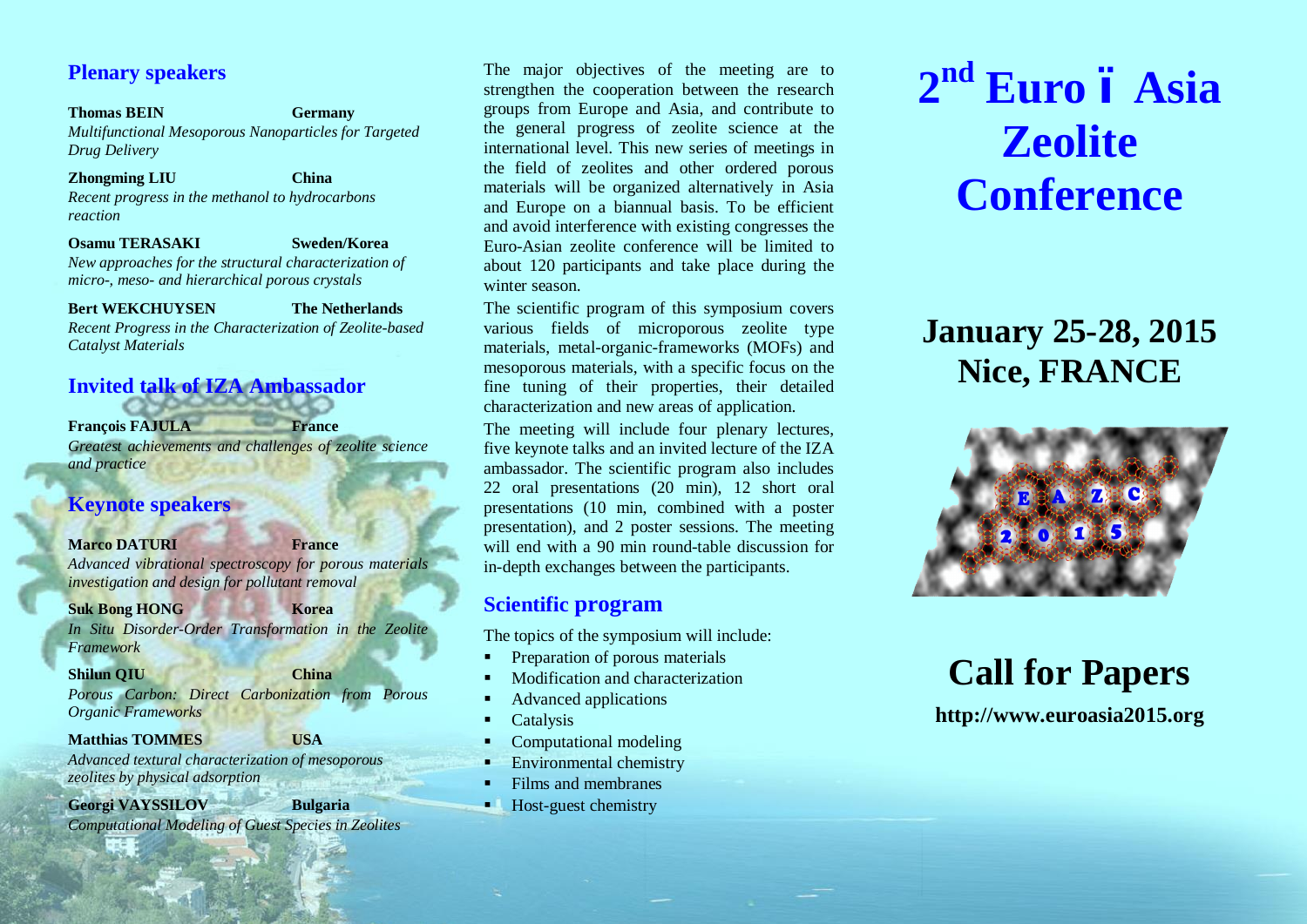# **Plenary speakers**

## **Thomas BEIN Germany** *Multifunctional Mesoporous Nanoparticles for Targeted Drug Delivery*

**Zhongming LIU China** *Recent progress in the methanol to hydrocarbons reaction*

**Osamu TERASAKI Sweden/Korea** *New approaches for the structural characterization of micro-, meso- and hierarchical porous crystals*

**Bert WEKCHUYSEN The Netherlands** *Recent Progress in the Characterization of Zeolite-based Catalyst Materials*

# **Invited talk of IZA Ambassador**

**François FAJULA France**

*Greatest achievements and challenges of zeolite science and practice*

# **Keynote speakers**

# **Marco DATURI France**

*Advanced vibrational spectroscopy for porous materials investigation and design for pollutant removal*

### **Suk Bong HONG Korea**

*In Situ Disorder-Order Transformation in the Zeolite Framework*

**Shilun QIU China**

*Porous Carbon: Direct Carbonization from Porous Organic Frameworks*

**Matthias TOMMES USA**

*Advanced textural characterization of mesoporous zeolites by physical adsorption*

**Georgi VAYSSILOV Bulgaria**

*Computational Modeling of Guest Species in Zeolites*

The major objectives of the meeting are to strengthen the cooperation between the research groups from Europe and Asia, and contribute to the general progress of zeolite science at the international level. This new series of meetings in the field of zeolites and other ordered porous materials will be organized alternatively in Asia and Europe on a biannual basis. To be efficient and avoid interference with existing congresses the Euro-Asian zeolite conference will be limited to about 120 participants and take place during the winter season.

The scientific program of this symposium covers various fields of microporous zeolite type materials, metal-organic-frameworks (MOFs) and mesoporous materials, with a specific focus on the fine tuning of their properties, their detailed characterization and new areas of application.

The meeting will include four plenary lectures, five keynote talks and an invited lecture of the IZA ambassador. The scientific program also includes 22 oral presentations (20 min), 12 short oral presentations (10 min, combined with a poster presentation), and 2 poster sessions. The meeting will end with a 90 min round-table discussion for in-depth exchanges between the participants.

# **Scientific program**

The topics of the symposium will include:

- ß Preparation of porous materials
- ß Modification and characterization
- ß Advanced applications
- **Catalysis**
- ß Computational modeling
- $\blacksquare$  Environmental chemistry
- ß Films and membranes
- ß Host-guest chemistry

# **2nd Euro – Asia Zeolite Conference**

# **January 25-28, 2015 Nice, FRANCE**



**Call for Papers**

# **http://www.euroasia2015.org**